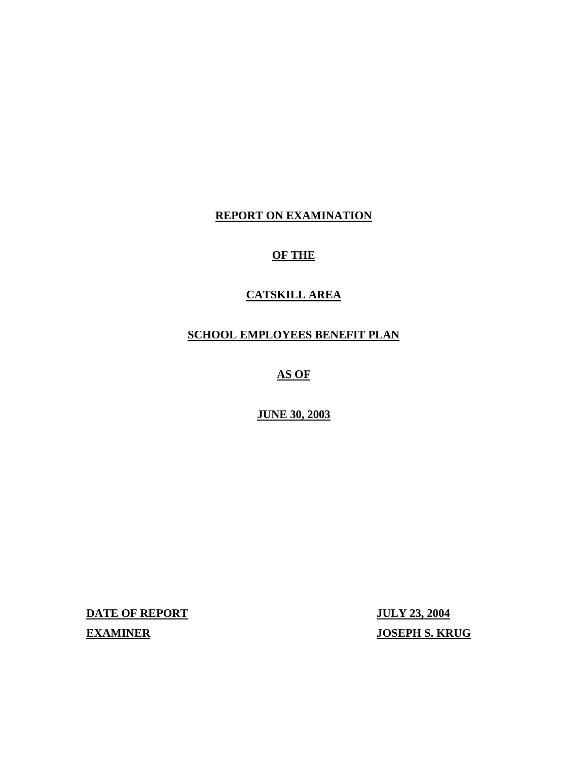## **REPORT ON EXAMINATION**

## **OF THE**

## **CATSKILL AREA**

## **SCHOOL EMPLOYEES BENEFIT PLAN**

## **AS OF**

## **JUNE 30, 2003**

**DATE OF REPORT JULY 23, 2004** 

**EXAMINER** JOSEPH S. KRUG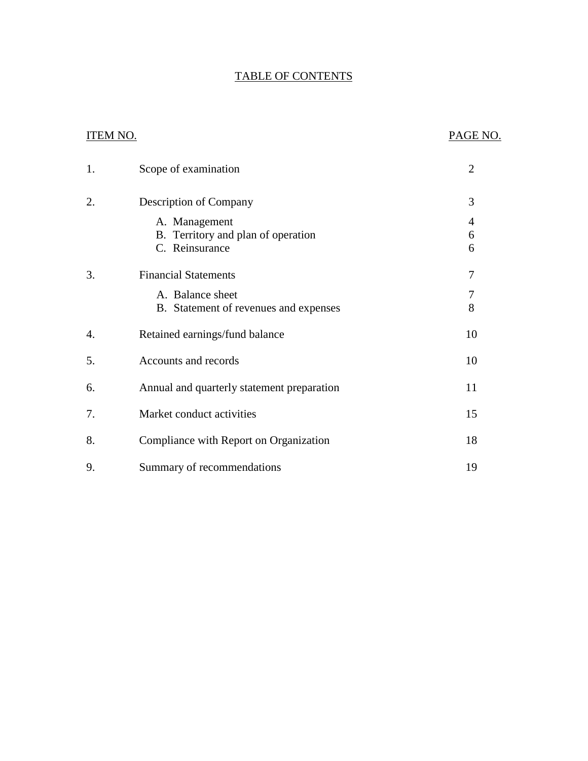## TABLE OF CONTENTS

## ITEM NO. PAGE NO.

| 1. | Scope of examination                                      | $\overline{2}$ |
|----|-----------------------------------------------------------|----------------|
| 2. | Description of Company                                    | 3              |
|    | A. Management<br>B. Territory and plan of operation       | 4<br>6         |
|    | C. Reinsurance                                            | 6              |
| 3. | <b>Financial Statements</b>                               | 7              |
|    | A. Balance sheet<br>B. Statement of revenues and expenses | 7<br>8         |
| 4. | Retained earnings/fund balance                            | 10             |
| 5. | Accounts and records                                      | 10             |
| 6. | Annual and quarterly statement preparation                | 11             |
| 7. | Market conduct activities                                 | 15             |
| 8. | Compliance with Report on Organization                    | 18             |
| 9. | Summary of recommendations                                | 19             |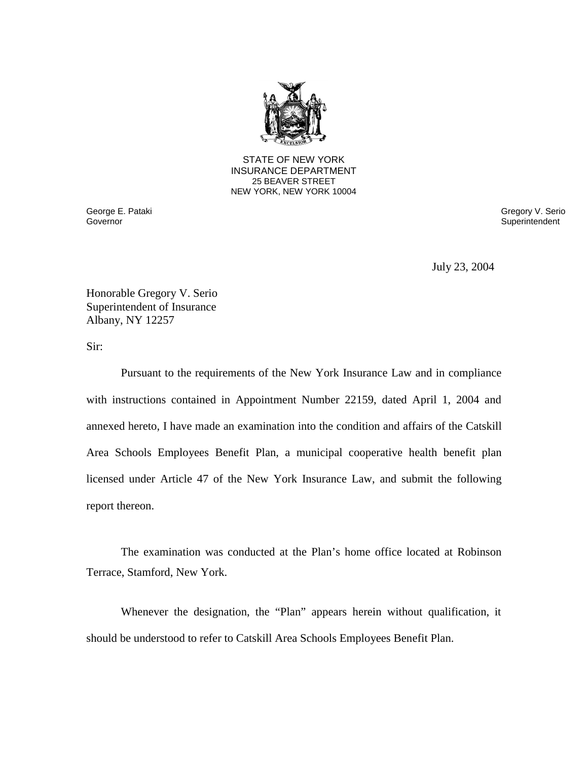

STATE OF NEW YORK INSURANCE DEPARTMENT 25 BEAVER STREET NEW YORK, NEW YORK 10004

George E. Pataki **Governor** 

Gregory V. Serio **Superintendent** 

July 23, 2004

Honorable Gregory V. Serio Superintendent of Insurance Albany, NY 12257

Sir:

 Pursuant to the requirements of the New York Insurance Law and in compliance with instructions contained in Appointment Number 22159, dated April 1, 2004 and annexed hereto, I have made an examination into the condition and affairs of the Catskill Area Schools Employees Benefit Plan, a municipal cooperative health benefit plan licensed under Article 47 of the New York Insurance Law, and submit the following report thereon.

 The examination was conducted at the Plan's home office located at Robinson Terrace, Stamford, New York.

 Whenever the designation, the "Plan" appears herein without qualification, it should be understood to refer to Catskill Area Schools Employees Benefit Plan.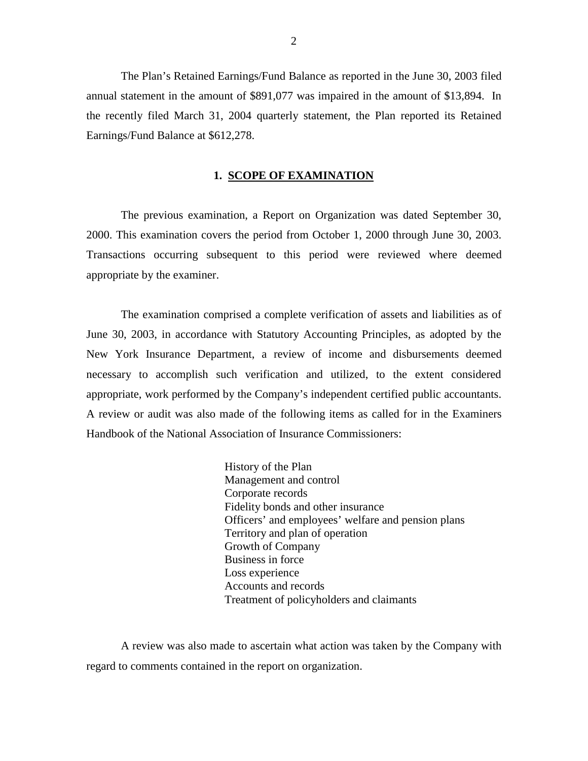The Plan's Retained Earnings/Fund Balance as reported in the June 30, 2003 filed annual statement in the amount of \$891,077 was impaired in the amount of \$13,894. In the recently filed March 31, 2004 quarterly statement, the Plan reported its Retained Earnings/Fund Balance at \$612,278.

#### **1. SCOPE OF EXAMINATION**

 The previous examination, a Report on Organization was dated September 30, 2000. This examination covers the period from October 1, 2000 through June 30, 2003. Transactions occurring subsequent to this period were reviewed where deemed appropriate by the examiner.

 The examination comprised a complete verification of assets and liabilities as of June 30, 2003, in accordance with Statutory Accounting Principles, as adopted by the New York Insurance Department, a review of income and disbursements deemed necessary to accomplish such verification and utilized, to the extent considered appropriate, work performed by the Company's independent certified public accountants. A review or audit was also made of the following items as called for in the Examiners Handbook of the National Association of Insurance Commissioners:

> Officers' and employees' welfare and pension plans History of the Plan Management and control Corporate records Fidelity bonds and other insurance Territory and plan of operation Growth of Company Business in force Loss experience Accounts and records Treatment of policyholders and claimants

 A review was also made to ascertain what action was taken by the Company with regard to comments contained in the report on organization.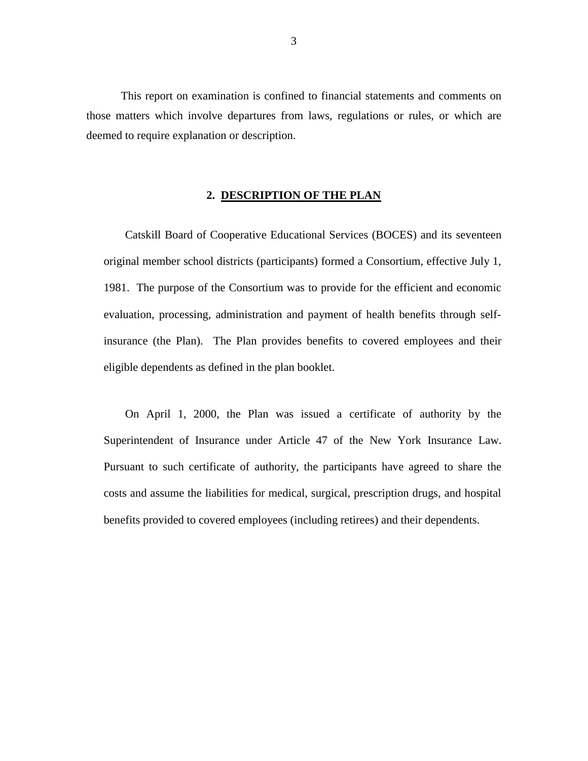<span id="page-4-0"></span> This report on examination is confined to financial statements and comments on those matters which involve departures from laws, regulations or rules, or which are deemed to require explanation or description.

#### **2. DESCRIPTION OF THE PLAN**

 Catskill Board of Cooperative Educational Services (BOCES) and its seventeen original member school districts (participants) formed a Consortium, effective July 1, 1981. The purpose of the Consortium was to provide for the efficient and economic evaluation, processing, administration and payment of health benefits through self- insurance (the Plan). The Plan provides benefits to covered employees and their eligible dependents as defined in the plan booklet.

 On April 1, 2000, the Plan was issued a certificate of authority by the Superintendent of Insurance under Article 47 of the New York Insurance Law. Pursuant to such certificate of authority, the participants have agreed to share the costs and assume the liabilities for medical, surgical, prescription drugs, and hospital benefits provided to covered employees (including retirees) and their dependents.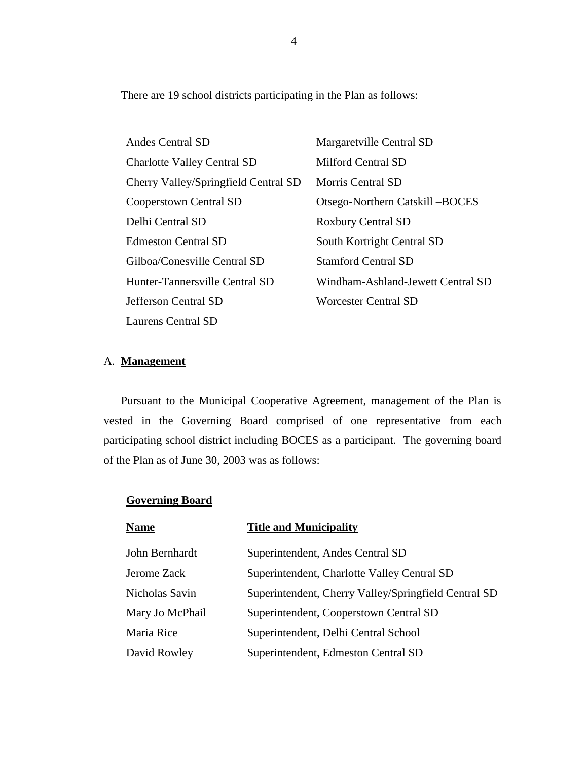<span id="page-5-0"></span>There are 19 school districts participating in the Plan as follows:

| Andes Central SD                     | Margaretville Central SD          |
|--------------------------------------|-----------------------------------|
| <b>Charlotte Valley Central SD</b>   | <b>Milford Central SD</b>         |
| Cherry Valley/Springfield Central SD | Morris Central SD                 |
| Cooperstown Central SD               | Otsego-Northern Catskill – BOCES  |
| Delhi Central SD                     | <b>Roxbury Central SD</b>         |
| <b>Edmeston Central SD</b>           | South Kortright Central SD        |
| Gilboa/Conesville Central SD         | <b>Stamford Central SD</b>        |
| Hunter-Tannersville Central SD       | Windham-Ashland-Jewett Central SD |
| <b>Jefferson Central SD</b>          | <b>Worcester Central SD</b>       |
| Laurens Central SD                   |                                   |

## A. **Management**

 Pursuant to the Municipal Cooperative Agreement, management of the Plan is vested in the Governing Board comprised of one representative from each participating school district including BOCES as a participant. The governing board of the Plan as of June 30, 2003 was as follows:

## **Governing Board**

| <b>Name</b>     | <b>Title and Municipality</b>                        |
|-----------------|------------------------------------------------------|
| John Bernhardt  | Superintendent, Andes Central SD                     |
| Jerome Zack     | Superintendent, Charlotte Valley Central SD          |
| Nicholas Savin  | Superintendent, Cherry Valley/Springfield Central SD |
| Mary Jo McPhail | Superintendent, Cooperstown Central SD               |
| Maria Rice      | Superintendent, Delhi Central School                 |
| David Rowley    | Superintendent, Edmeston Central SD                  |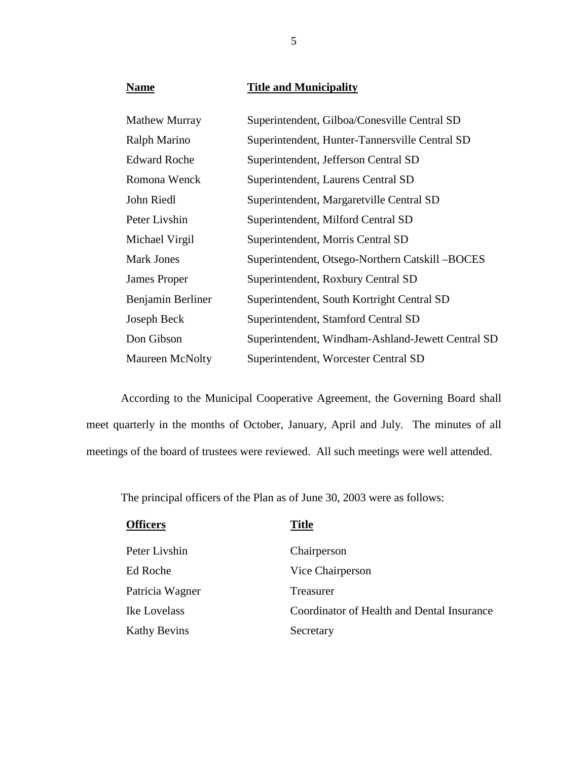**Name Title and Municipality** 

| <b>Mathew Murray</b> | Superintendent, Gilboa/Conesville Central SD      |
|----------------------|---------------------------------------------------|
| Ralph Marino         | Superintendent, Hunter-Tannersville Central SD    |
| <b>Edward Roche</b>  | Superintendent, Jefferson Central SD              |
| Romona Wenck         | Superintendent, Laurens Central SD                |
| John Riedl           | Superintendent, Margaretville Central SD          |
| Peter Livshin        | Superintendent, Milford Central SD                |
| Michael Virgil       | Superintendent, Morris Central SD                 |
| <b>Mark Jones</b>    | Superintendent, Otsego-Northern Catskill -BOCES   |
| James Proper         | Superintendent, Roxbury Central SD                |
| Benjamin Berliner    | Superintendent, South Kortright Central SD        |
| Joseph Beck          | Superintendent, Stamford Central SD               |
| Don Gibson           | Superintendent, Windham-Ashland-Jewett Central SD |
| Maureen McNolty      | Superintendent, Worcester Central SD              |

 According to the Municipal Cooperative Agreement, the Governing Board shall meet quarterly in the months of October, January, April and July. The minutes of all meetings of the board of trustees were reviewed. All such meetings were well attended.

The principal officers of the Plan as of June 30, 2003 were as follows:

| <b>Officers</b>     | <b>Title</b>                               |
|---------------------|--------------------------------------------|
| Peter Livshin       | Chairperson                                |
| Ed Roche            | Vice Chairperson                           |
| Patricia Wagner     | Treasurer                                  |
| Ike Lovelass        | Coordinator of Health and Dental Insurance |
| <b>Kathy Bevins</b> | Secretary                                  |

5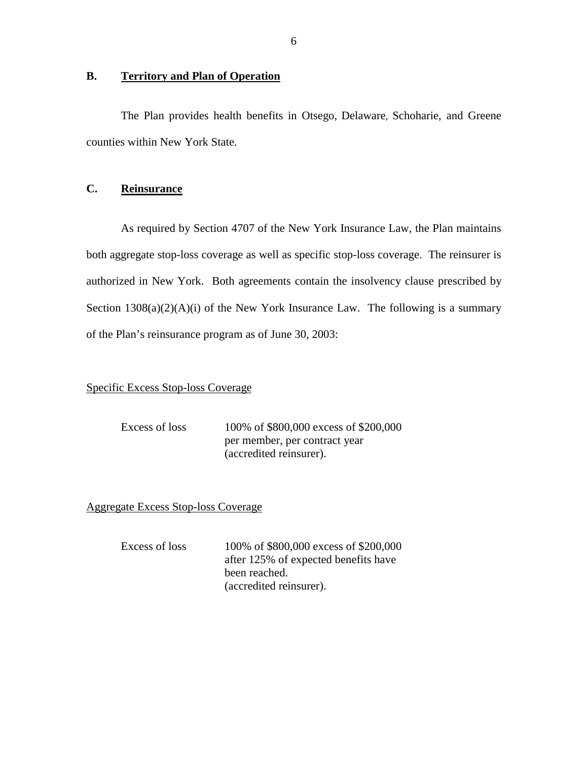## <span id="page-7-0"></span>**B. Territory and Plan of Operation**

 The Plan provides health benefits in Otsego, Delaware, Schoharie, and Greene counties within New York State.

### **C. Reinsurance**

 As required by Section 4707 of the New York Insurance Law, the Plan maintains both aggregate stop-loss coverage as well as specific stop-loss coverage. The reinsurer is authorized in New York. Both agreements contain the insolvency clause prescribed by Section  $1308(a)(2)(A)(i)$  of the New York Insurance Law. The following is a summary of the Plan's reinsurance program as of June 30, 2003:

## Specific Excess Stop-loss Coverage

| Excess of loss | 100% of \$800,000 excess of \$200,000 |
|----------------|---------------------------------------|
|                | per member, per contract year         |
|                | (accredited reinsurer).               |

Aggregate Excess Stop-loss Coverage

| Excess of loss | 100% of \$800,000 excess of \$200,000 |
|----------------|---------------------------------------|
|                | after 125% of expected benefits have  |
|                | been reached.                         |
|                | (accredited reinsurer).               |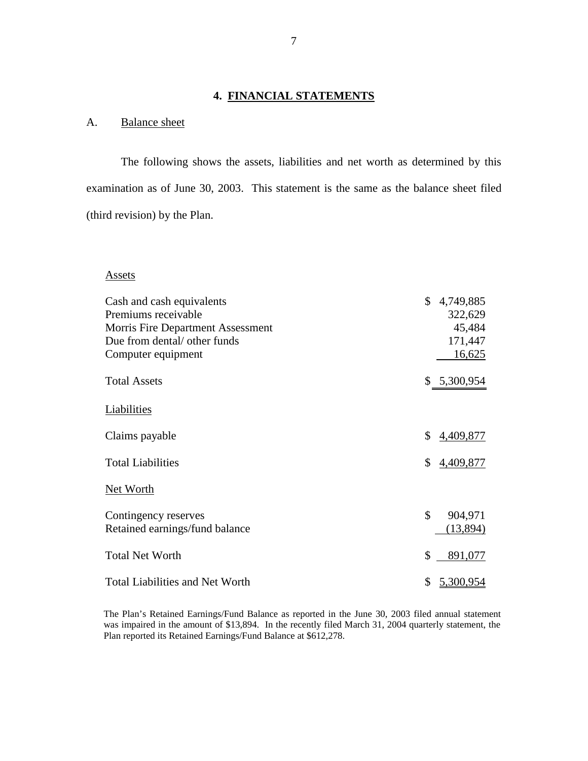## **4. FINANCIAL STATEMENTS**

## A. Balance sheet

 The following shows the assets, liabilities and net worth as determined by this examination as of June 30, 2003. This statement is the same as the balance sheet filed (third revision) by the Plan.

#### Assets

| Cash and cash equivalents              | \$<br>4,749,885 |
|----------------------------------------|-----------------|
| Premiums receivable                    | 322,629         |
| Morris Fire Department Assessment      | 45,484          |
| Due from dental/ other funds           | 171,447         |
| Computer equipment                     | 16,625          |
| <b>Total Assets</b>                    | \$ 5,300,954    |
| Liabilities                            |                 |
| Claims payable                         | \$<br>4,409,877 |
| <b>Total Liabilities</b>               | \$<br>4,409,877 |
| Net Worth                              |                 |
| Contingency reserves                   | \$<br>904,971   |
| Retained earnings/fund balance         | (13,894)        |
| <b>Total Net Worth</b>                 | \$<br>891,077   |
| <b>Total Liabilities and Net Worth</b> | \$<br>5,300,954 |

 The Plan's Retained Earnings/Fund Balance as reported in the June 30, 2003 filed annual statement was impaired in the amount of \$13,894. In the recently filed March 31, 2004 quarterly statement, the Plan reported its Retained Earnings/Fund Balance at \$612,278.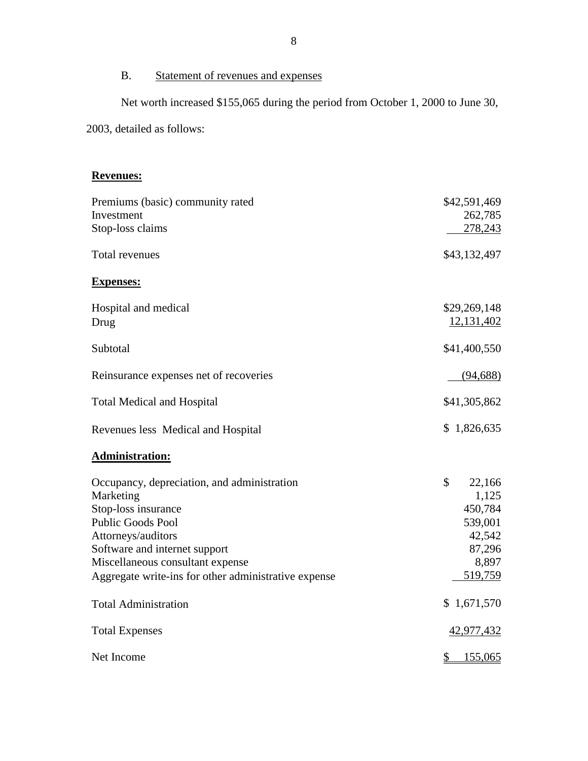## B. Statement of revenues and expenses

Net worth increased \$155,065 during the period from October 1, 2000 to June 30,

2003, detailed as follows:

## **Revenues:**

| Premiums (basic) community rated<br>Investment<br>Stop-loss claims                                                                                                                                                                                             | \$42,591,469<br>262,785<br>278,243                                                  |
|----------------------------------------------------------------------------------------------------------------------------------------------------------------------------------------------------------------------------------------------------------------|-------------------------------------------------------------------------------------|
| Total revenues                                                                                                                                                                                                                                                 | \$43,132,497                                                                        |
| <b>Expenses:</b>                                                                                                                                                                                                                                               |                                                                                     |
| Hospital and medical<br>Drug                                                                                                                                                                                                                                   | \$29,269,148<br>12,131,402                                                          |
| Subtotal                                                                                                                                                                                                                                                       | \$41,400,550                                                                        |
| Reinsurance expenses net of recoveries                                                                                                                                                                                                                         | (94, 688)                                                                           |
| <b>Total Medical and Hospital</b>                                                                                                                                                                                                                              | \$41,305,862                                                                        |
| Revenues less Medical and Hospital                                                                                                                                                                                                                             | \$1,826,635                                                                         |
| <b>Administration:</b>                                                                                                                                                                                                                                         |                                                                                     |
| Occupancy, depreciation, and administration<br>Marketing<br>Stop-loss insurance<br><b>Public Goods Pool</b><br>Attorneys/auditors<br>Software and internet support<br>Miscellaneous consultant expense<br>Aggregate write-ins for other administrative expense | \$<br>22,166<br>1,125<br>450,784<br>539,001<br>42,542<br>87,296<br>8,897<br>519,759 |
| <b>Total Administration</b>                                                                                                                                                                                                                                    | \$1,671,570                                                                         |
| <b>Total Expenses</b>                                                                                                                                                                                                                                          | <u>42,977,432</u>                                                                   |
| Net Income                                                                                                                                                                                                                                                     | 155,065<br>\$_                                                                      |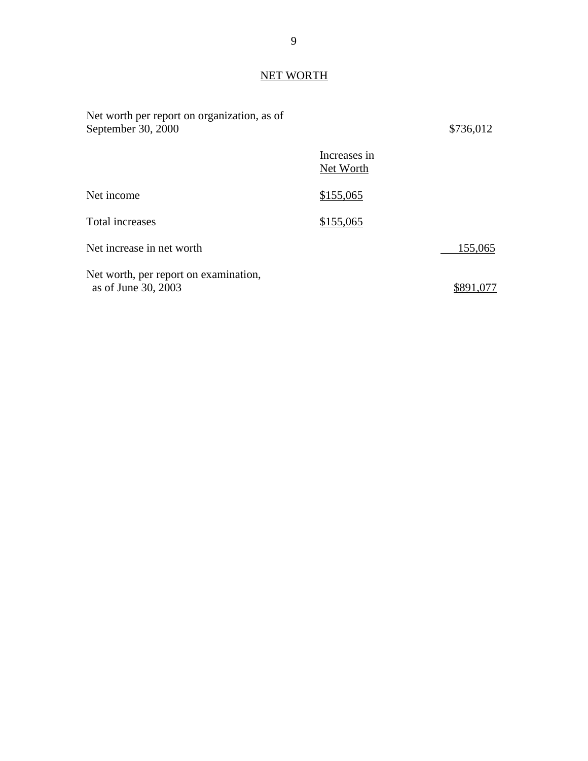## NET WORTH

| Net worth per report on organization, as of<br>September 30, 2000 |                           | \$736,012 |
|-------------------------------------------------------------------|---------------------------|-----------|
|                                                                   | Increases in<br>Net Worth |           |
| Net income                                                        | \$155,065                 |           |
| Total increases                                                   | \$155,065                 |           |
| Net increase in net worth                                         |                           | 155,065   |
| Net worth, per report on examination,<br>as of June 30, 2003      |                           |           |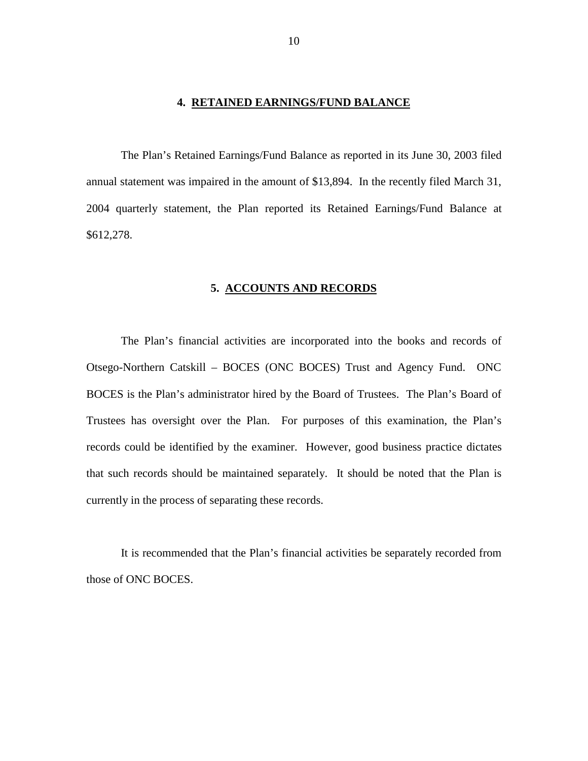#### **4. RETAINED EARNINGS/FUND BALANCE**

<span id="page-11-0"></span> The Plan's Retained Earnings/Fund Balance as reported in its June 30, 2003 filed annual statement was impaired in the amount of \$13,894. In the recently filed March 31, 2004 quarterly statement, the Plan reported its Retained Earnings/Fund Balance at \$612,278.

#### **5. ACCOUNTS AND RECORDS**

 The Plan's financial activities are incorporated into the books and records of Otsego-Northern Catskill – BOCES (ONC BOCES) Trust and Agency Fund. ONC BOCES is the Plan's administrator hired by the Board of Trustees. The Plan's Board of Trustees has oversight over the Plan. For purposes of this examination, the Plan's records could be identified by the examiner. However, good business practice dictates that such records should be maintained separately. It should be noted that the Plan is currently in the process of separating these records.

 It is recommended that the Plan's financial activities be separately recorded from those of ONC BOCES.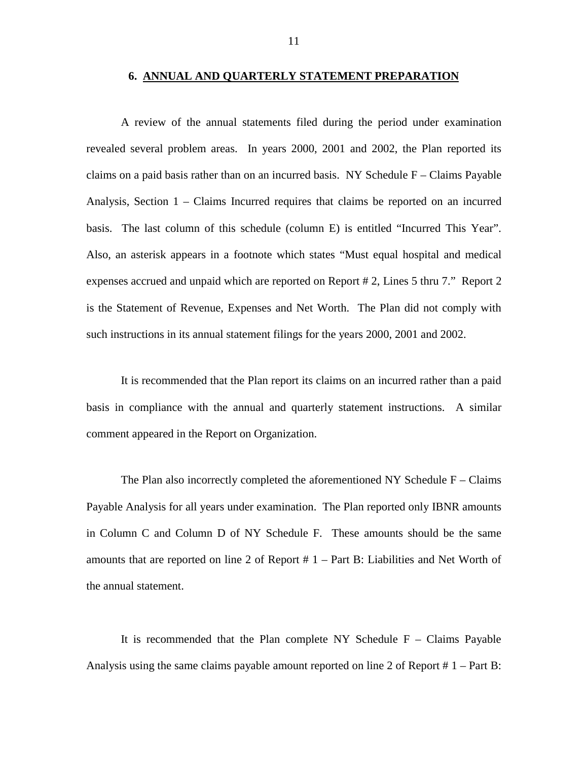#### **6. ANNUAL AND QUARTERLY STATEMENT PREPARATION**

<span id="page-12-0"></span> A review of the annual statements filed during the period under examination revealed several problem areas. In years 2000, 2001 and 2002, the Plan reported its claims on a paid basis rather than on an incurred basis. NY Schedule F – Claims Payable Analysis, Section 1 – Claims Incurred requires that claims be reported on an incurred basis. The last column of this schedule (column E) is entitled "Incurred This Year". Also, an asterisk appears in a footnote which states "Must equal hospital and medical expenses accrued and unpaid which are reported on Report # 2, Lines 5 thru 7." Report 2 is the Statement of Revenue, Expenses and Net Worth. The Plan did not comply with such instructions in its annual statement filings for the years 2000, 2001 and 2002.

 It is recommended that the Plan report its claims on an incurred rather than a paid basis in compliance with the annual and quarterly statement instructions. A similar comment appeared in the Report on Organization.

The Plan also incorrectly completed the aforementioned NY Schedule  $F - Clains$  Payable Analysis for all years under examination. The Plan reported only IBNR amounts in Column C and Column D of NY Schedule F. These amounts should be the same amounts that are reported on line 2 of Report # 1 – Part B: Liabilities and Net Worth of the annual statement.

It is recommended that the Plan complete  $NY$  Schedule  $F - \text{Claims}$  Payable Analysis using the same claims payable amount reported on line 2 of Report # 1 – Part B: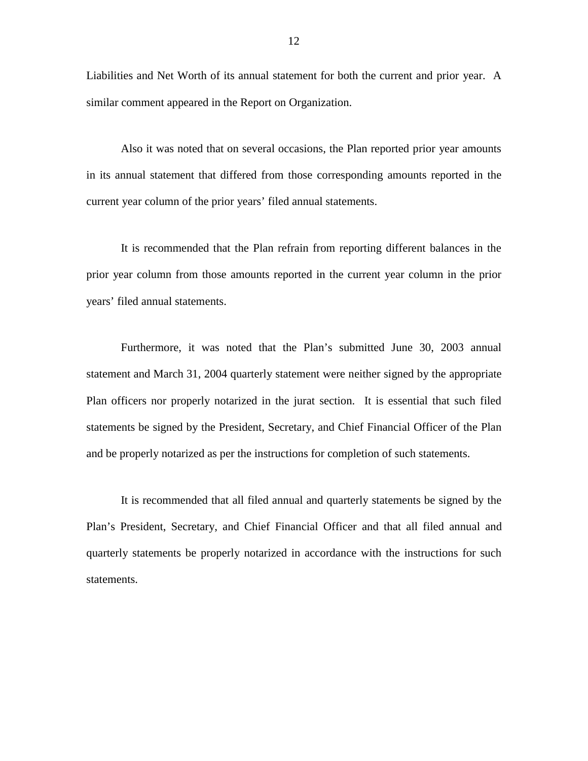Liabilities and Net Worth of its annual statement for both the current and prior year. A similar comment appeared in the Report on Organization.

 Also it was noted that on several occasions, the Plan reported prior year amounts in its annual statement that differed from those corresponding amounts reported in the current year column of the prior years' filed annual statements.

 It is recommended that the Plan refrain from reporting different balances in the prior year column from those amounts reported in the current year column in the prior years' filed annual statements.

 Furthermore, it was noted that the Plan's submitted June 30, 2003 annual statement and March 31, 2004 quarterly statement were neither signed by the appropriate Plan officers nor properly notarized in the jurat section. It is essential that such filed statements be signed by the President, Secretary, and Chief Financial Officer of the Plan and be properly notarized as per the instructions for completion of such statements.

 It is recommended that all filed annual and quarterly statements be signed by the Plan's President, Secretary, and Chief Financial Officer and that all filed annual and quarterly statements be properly notarized in accordance with the instructions for such statements.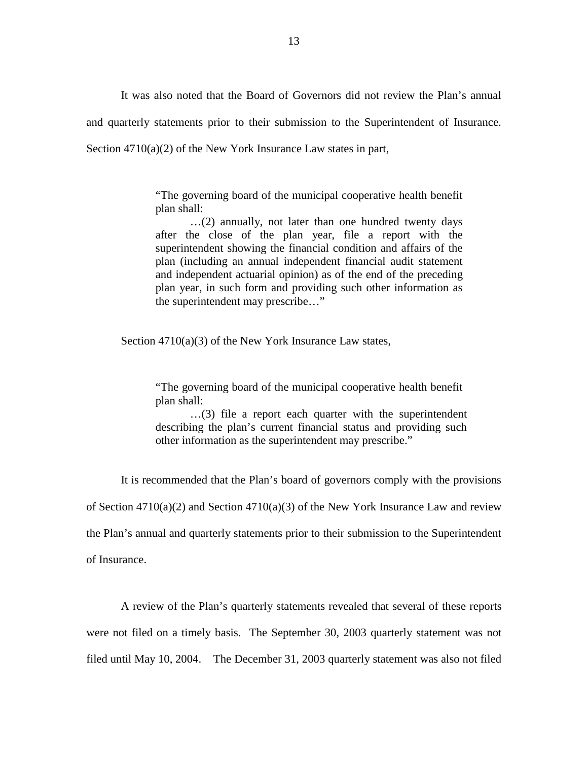It was also noted that the Board of Governors did not review the Plan's annual and quarterly statements prior to their submission to the Superintendent of Insurance. Section 4710(a)(2) of the New York Insurance Law states in part,

> "The governing board of the municipal cooperative health benefit plan shall:

> …(2) annually, not later than one hundred twenty days after the close of the plan year, file a report with the superintendent showing the financial condition and affairs of the plan (including an annual independent financial audit statement and independent actuarial opinion) as of the end of the preceding plan year, in such form and providing such other information as the superintendent may prescribe…"

Section 4710(a)(3) of the New York Insurance Law states,

 "The governing board of the municipal cooperative health benefit plan shall:

 …(3) file a report each quarter with the superintendent describing the plan's current financial status and providing such other information as the superintendent may prescribe."

It is recommended that the Plan's board of governors comply with the provisions

of Section 4710(a)(2) and Section 4710(a)(3) of the New York Insurance Law and review

the Plan's annual and quarterly statements prior to their submission to the Superintendent

of Insurance.

 A review of the Plan's quarterly statements revealed that several of these reports were not filed on a timely basis. The September 30, 2003 quarterly statement was not filed until May 10, 2004. The December 31, 2003 quarterly statement was also not filed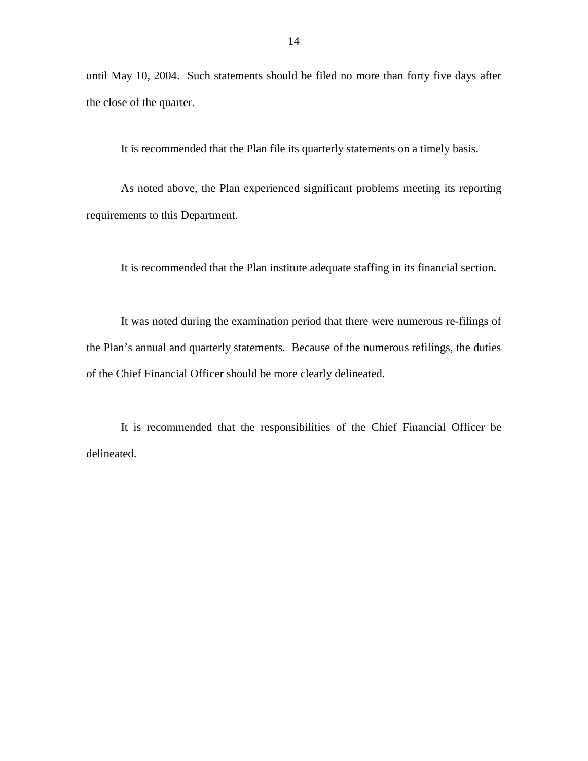until May 10, 2004. Such statements should be filed no more than forty five days after the close of the quarter.

It is recommended that the Plan file its quarterly statements on a timely basis.

 As noted above, the Plan experienced significant problems meeting its reporting requirements to this Department.

It is recommended that the Plan institute adequate staffing in its financial section.

 It was noted during the examination period that there were numerous re-filings of the Plan's annual and quarterly statements. Because of the numerous refilings, the duties of the Chief Financial Officer should be more clearly delineated.

 It is recommended that the responsibilities of the Chief Financial Officer be delineated.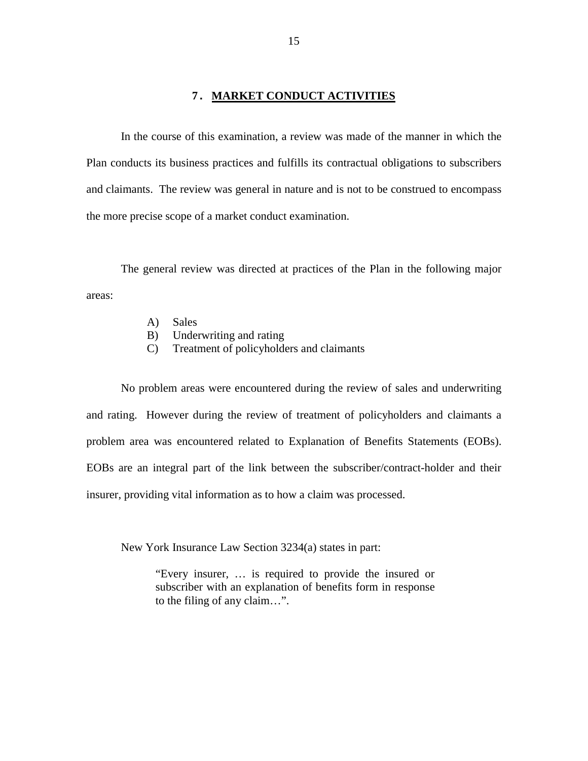#### **7. MARKET CONDUCT ACTIVITIES**

<span id="page-16-0"></span> In the course of this examination, a review was made of the manner in which the Plan conducts its business practices and fulfills its contractual obligations to subscribers and claimants. The review was general in nature and is not to be construed to encompass the more precise scope of a market conduct examination.

 The general review was directed at practices of the Plan in the following major areas:

- A) Sales
- B) Underwriting and rating
- C) Treatment of policyholders and claimants

 No problem areas were encountered during the review of sales and underwriting and rating. However during the review of treatment of policyholders and claimants a problem area was encountered related to Explanation of Benefits Statements (EOBs). EOBs are an integral part of the link between the subscriber/contract-holder and their insurer, providing vital information as to how a claim was processed.

New York Insurance Law Section 3234(a) states in part:

 "Every insurer, … is required to provide the insured or subscriber with an explanation of benefits form in response to the filing of any claim…".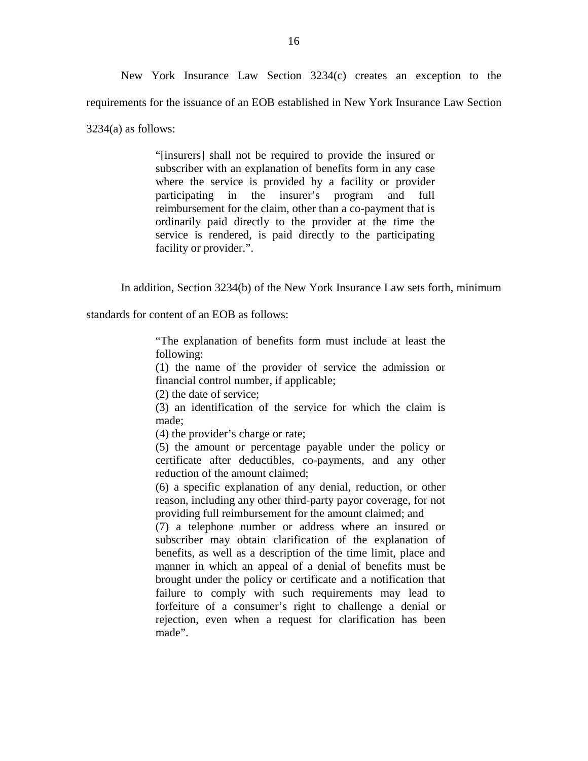New York Insurance Law Section 3234(c) creates an exception to the requirements for the issuance of an EOB established in New York Insurance Law Section 3234(a) as follows:

> "[insurers] shall not be required to provide the insured or subscriber with an explanation of benefits form in any case where the service is provided by a facility or provider participating in the insurer's program and full ordinarily paid directly to the provider at the time the service is rendered, is paid directly to the participating reimbursement for the claim, other than a co-payment that is facility or provider.".

In addition, Section 3234(b) of the New York Insurance Law sets forth, minimum

standards for content of an EOB as follows:

 "The explanation of benefits form must include at least the following:

 (1) the name of the provider of service the admission or financial control number, if applicable;

(2) the date of service;

 (3) an identification of the service for which the claim is made;

(4) the provider's charge or rate;

 (5) the amount or percentage payable under the policy or certificate after deductibles, co-payments, and any other reduction of the amount claimed;

 (6) a specific explanation of any denial, reduction, or other reason, including any other third-party payor coverage, for not providing full reimbursement for the amount claimed; and

 (7) a telephone number or address where an insured or subscriber may obtain clarification of the explanation of benefits, as well as a description of the time limit, place and manner in which an appeal of a denial of benefits must be brought under the policy or certificate and a notification that failure to comply with such requirements may lead to forfeiture of a consumer's right to challenge a denial or rejection, even when a request for clarification has been made".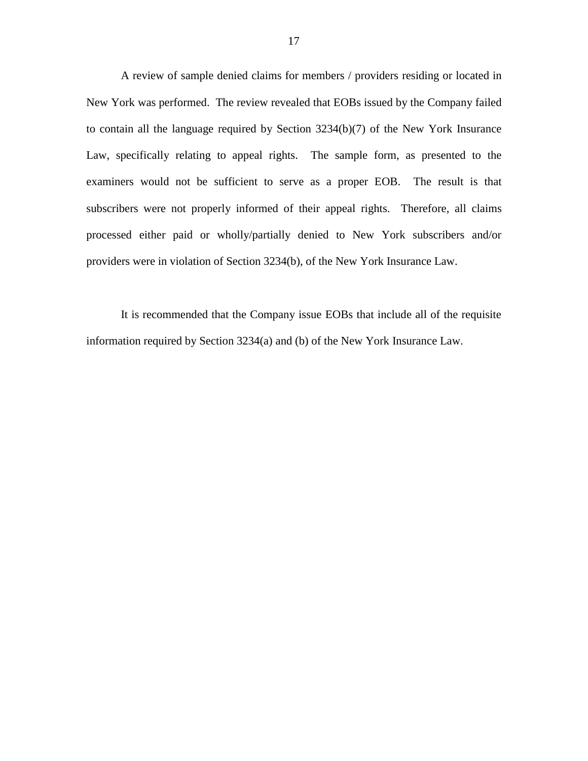A review of sample denied claims for members / providers residing or located in New York was performed. The review revealed that EOBs issued by the Company failed to contain all the language required by Section 3234(b)(7) of the New York Insurance Law, specifically relating to appeal rights. The sample form, as presented to the examiners would not be sufficient to serve as a proper EOB. The result is that subscribers were not properly informed of their appeal rights. Therefore, all claims processed either paid or wholly/partially denied to New York subscribers and/or providers were in violation of Section 3234(b), of the New York Insurance Law.

 It is recommended that the Company issue EOBs that include all of the requisite information required by Section 3234(a) and (b) of the New York Insurance Law.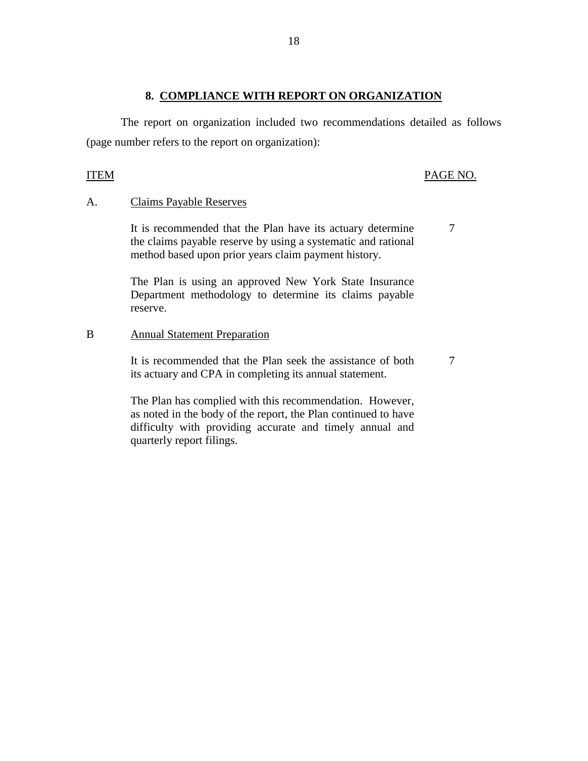### **8. COMPLIANCE WITH REPORT ON ORGANIZATION**

 The report on organization included two recommendations detailed as follows (page number refers to the report on organization):

### ITEM PAGE NO.

7

7

### A. Claims Payable Reserves

 It is recommended that the Plan have its actuary determine the claims payable reserve by using a systematic and rational method based upon prior years claim payment history.

 The Plan is using an approved New York State Insurance Department methodology to determine its claims payable reserve.

## B Annual Statement Preparation

 It is recommended that the Plan seek the assistance of both its actuary and CPA in completing its annual statement.

 The Plan has complied with this recommendation. However, as noted in the body of the report, the Plan continued to have difficulty with providing accurate and timely annual and quarterly report filings.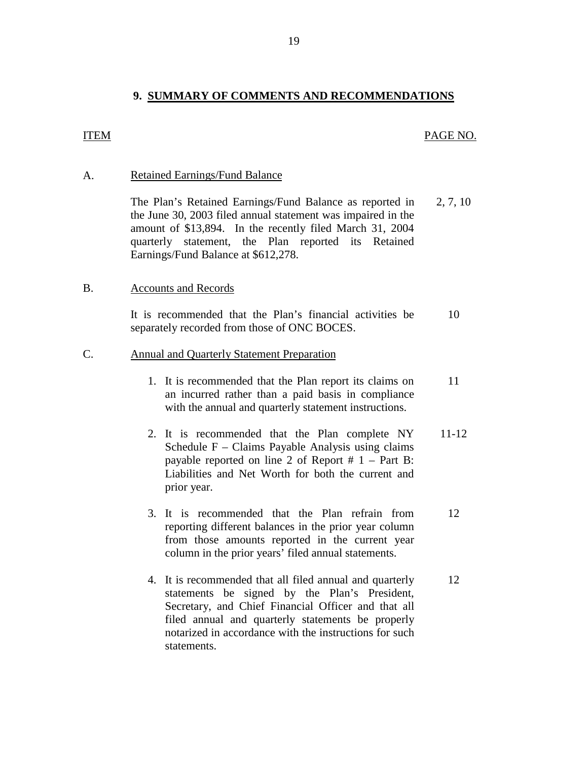### **9. SUMMARY OF COMMENTS AND RECOMMENDATIONS**

#### <span id="page-20-0"></span>ITEM PAGE NO.

#### A. Retained Earnings/Fund Balance

The Plan's Retained Earnings/Fund Balance as reported in 2, 7, 10 the June 30, 2003 filed annual statement was impaired in the amount of \$13,894. In the recently filed March 31, 2004 quarterly statement, the Plan reported its Retained Earnings/Fund Balance at \$612,278.

#### B. Accounts and Records

 It is recommended that the Plan's financial activities be 10 separately recorded from those of ONC BOCES.

#### C. Annual and Quarterly Statement Preparation

- 1. It is recommended that the Plan report its claims on 11 an incurred rather than a paid basis in compliance with the annual and quarterly statement instructions.
- 2. It is recommended that the Plan complete NY 11-12 Schedule F – Claims Payable Analysis using claims payable reported on line 2 of Report  $# 1 - Part B$ : Liabilities and Net Worth for both the current and prior year.
- 3. It is recommended that the Plan refrain from 12 reporting different balances in the prior year column from those amounts reported in the current year column in the prior years' filed annual statements.
- 4. It is recommended that all filed annual and quarterly 12 statements be signed by the Plan's President, Secretary, and Chief Financial Officer and that all filed annual and quarterly statements be properly notarized in accordance with the instructions for such statements.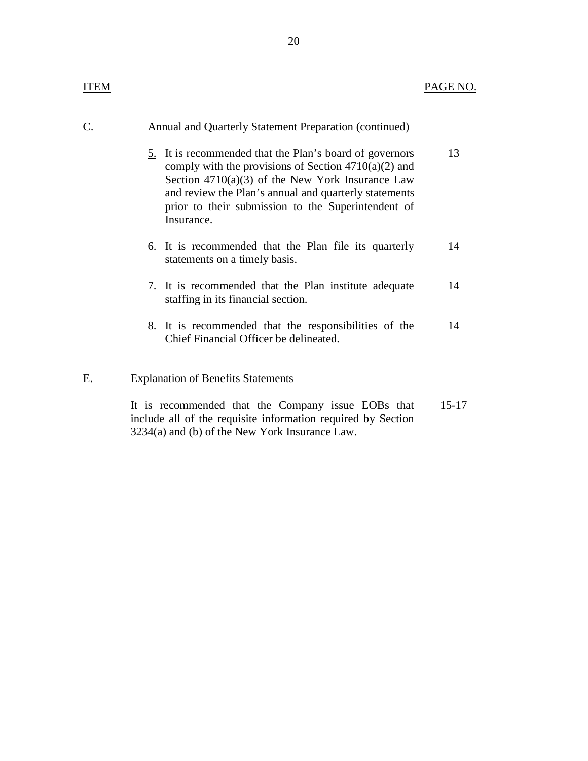## C. Annual and Quarterly Statement Preparation (continued)

- 5. It is recommended that the Plan's board of governors 13 comply with the provisions of Section  $4710(a)(2)$  and Section 4710(a)(3) of the New York Insurance Law and review the Plan's annual and quarterly statements prior to their submission to the Superintendent of Insurance.
- 6. It is recommended that the Plan file its quarterly 14 statements on a timely basis.
- 7. It is recommended that the Plan institute adequate 14 staffing in its financial section.
- 8. It is recommended that the responsibilities of the 14 Chief Financial Officer be delineated.

#### E. Explanation of Benefits Statements

 It is recommended that the Company issue EOBs that 15-17 include all of the requisite information required by Section 3234(a) and (b) of the New York Insurance Law.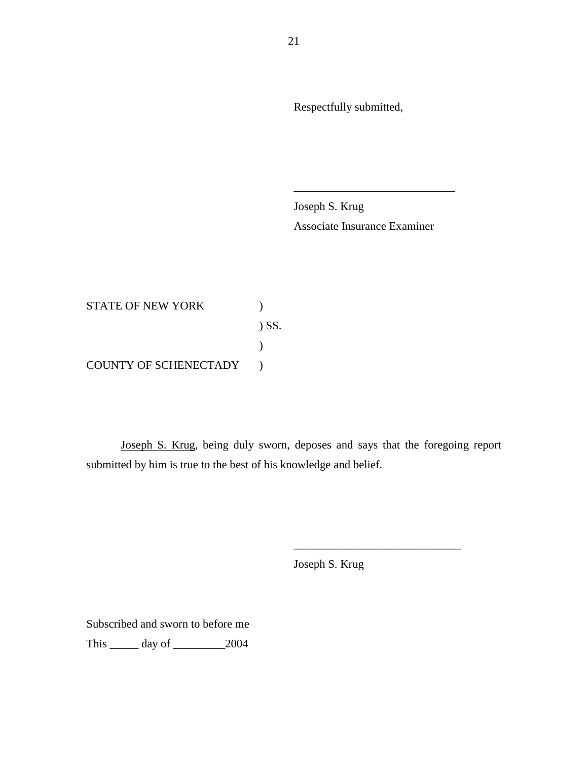Respectfully submitted,

Joseph S. Krug Associate Insurance Examiner

\_\_\_\_\_\_\_\_\_\_\_\_\_\_\_\_\_\_\_\_\_\_\_\_\_\_\_\_

STATE OF NEW YORK  $)$ ) SS.  $\mathcal{L}$ COUNTY OF SCHENECTADY )

 Joseph S. Krug, being duly sworn, deposes and says that the foregoing report submitted by him is true to the best of his knowledge and belief.

Joseph S. Krug

\_\_\_\_\_\_\_\_\_\_\_\_\_\_\_\_\_\_\_\_\_\_\_\_\_\_\_\_\_

Subscribed and sworn to before me This \_\_\_\_\_ day of \_\_\_\_\_\_\_\_\_2004